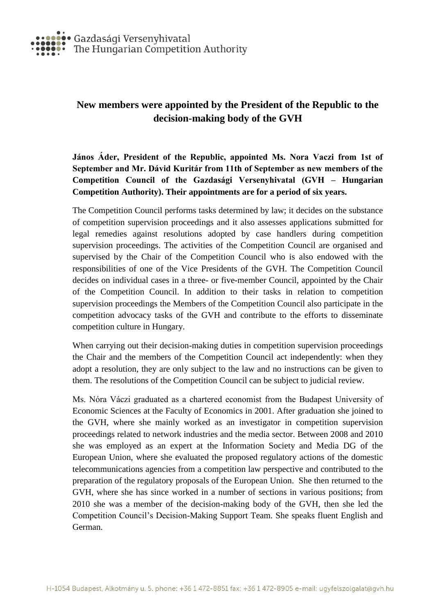

## **New members were appointed by the President of the Republic to the decision-making body of the GVH**

**János Áder, President of the Republic, appointed Ms. Nora Vaczi from 1st of September and Mr. Dávid Kuritár from 11th of September as new members of the Competition Council of the Gazdasági Versenyhivatal (GVH – Hungarian Competition Authority). Their appointments are for a period of six years.**

The Competition Council performs tasks determined by law; it decides on the substance of competition supervision proceedings and it also assesses applications submitted for legal remedies against resolutions adopted by case handlers during competition supervision proceedings. The activities of the Competition Council are organised and supervised by the Chair of the Competition Council who is also endowed with the responsibilities of one of the Vice Presidents of the GVH. The Competition Council decides on individual cases in a three- or five-member Council, appointed by the Chair of the Competition Council. In addition to their tasks in relation to competition supervision proceedings the Members of the Competition Council also participate in the competition advocacy tasks of the GVH and contribute to the efforts to disseminate competition culture in Hungary.

When carrying out their decision-making duties in competition supervision proceedings the Chair and the members of the Competition Council act independently: when they adopt a resolution, they are only subject to the law and no instructions can be given to them. The resolutions of the Competition Council can be subject to judicial review.

Ms. Nóra Váczi graduated as a chartered economist from the Budapest University of Economic Sciences at the Faculty of Economics in 2001. After graduation she joined to the GVH, where she mainly worked as an investigator in competition supervision proceedings related to network industries and the media sector. Between 2008 and 2010 she was employed as an expert at the Information Society and Media DG of the European Union, where she evaluated the proposed regulatory actions of the domestic telecommunications agencies from a competition law perspective and contributed to the preparation of the regulatory proposals of the European Union. She then returned to the GVH, where she has since worked in a number of sections in various positions; from 2010 she was a member of the decision-making body of the GVH, then she led the Competition Council's Decision-Making Support Team. She speaks fluent English and German.